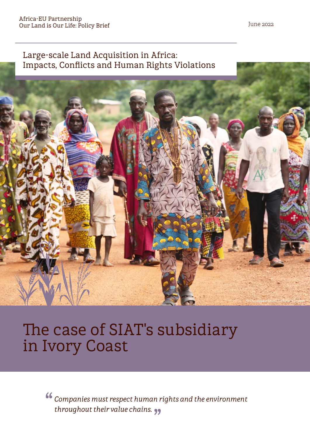## Large-scale Land Acquisition in Africa: Impacts, Conflicts and Human Rights Violations



# The case of SIAT's subsidiary in Ivory Coast

" " *throughout their value chains.Companies must respect human rights and the environment*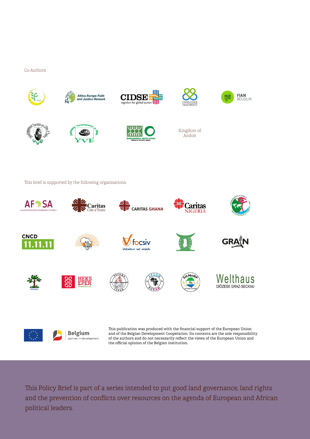#### Co-Authors



This Policy Brief is part of a series intended to put good land governance, land rights and the prevention of conflicts over resources on the agenda of European and African political leaders.

the official opinion of the Belgian institution.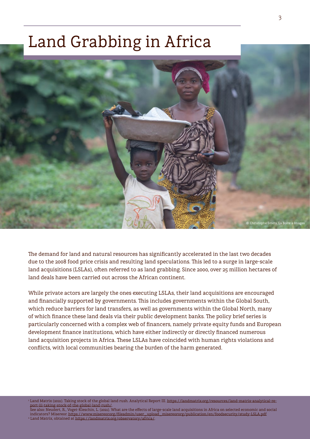# Land Grabbing in Africa



The demand for land and natural resources has significantly accelerated in the last two decades due to the 2008 food price crisis and resulting land speculations. This led to a surge in large-scale land acquisitions (LSLAs), often referred to as land grabbing. Since 2000, over 25 million hectares of land deals have been carried out across the African continent.

While private actors are largely the ones executing LSLAs, their land acquisitions are encouraged and financially supported by governments. This includes governments within the Global South, which reduce barriers for land transfers, as well as governments within the Global North, many of which finance these land deals via their public development banks. The policy brief series is particularly concerned with a complex web of financers, namely private equity funds and European development finance institutions, which have either indirectly or directly financed numerous land acquisition projects in Africa. These LSLAs have coincided with human rights violations and conflicts, with local communities bearing the burden of the harm generated.

Land Matrix (2021). Taking stock of the global land rush. Analytical Report III. [https://landmatrix.org/resources/land-matrix-analytical-re](https://landmatrix.org/resources/land-matrix-analytical-report-iii-taking-stock-of-the-global-land-rush/)[port-iii-taking-stock-of-the-global-land-rush/.](https://landmatrix.org/resources/land-matrix-analytical-report-iii-taking-stock-of-the-global-land-rush/)

See also: Neudert, R., Voget-Kleschin, L. (2021). What are the effects of large-scale land acquisitions in Africa on selected economic and social indicators? Misereor. [https://www.misereor.org/fileadmin/user\\_upload\\_misereororg/publication/en/foodsecurity/study-LSLA.pdf](https://www.misereor.org/fileadmin/user_upload_misereororg/publication/en/foodsecurity/study-LSLA.pdf) 2  [Land Matrix, obtained at https://landmatrix.org/observatory/africa/.](https://landmatrix.org/observatory/africa/)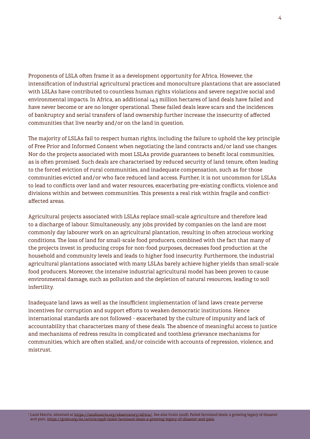Proponents of LSLA often frame it as a development opportunity for Africa. However, the intensification of industrial agricultural practices and monoculture plantations that are associated with LSLAs have contributed to countless human rights violations and severe negative social and environmental impacts. In Africa, an additional 14.3 million hectares of land deals have failed and have never become or are no longer operational. These failed deals leave scars and the incidences of bankruptcy and serial transfers of land ownership further increase the insecurity of affected communities that live nearby and/or on the land in question.

The majority of LSLAs fail to respect human rights, including the failure to uphold the key principle of Free Prior and Informed Consent when negotiating the land contracts and/or land use changes. Nor do the projects associated with most LSLAs provide guarantees to benefit local communities, as is often promised. Such deals are characterised by reduced security of land tenure, often leading to the forced eviction of rural communities, and inadequate compensation, such as for those communities evicted and/or who face reduced land access. Further, it is not uncommon for LSLAs to lead to conflicts over land and water resources, exacerbating pre-existing conflicts, violence and divisions within and between communities. This presents a real risk within fragile and conflictaffected areas.

Agricultural projects associated with LSLAs replace small-scale agriculture and therefore lead to a discharge of labour. Simultaneously, any jobs provided by companies on the land are most commonly day labourer work on an agricultural plantation, resulting in often atrocious working conditions. The loss of land for small-scale food producers, combined with the fact that many of the projects invest in producing crops for non-food purposes, decreases food production at the household and community levels and leads to higher food insecurity. Furthermore, the industrial agricultural plantations associated with many LSLAs barely achieve higher yields than small-scale food producers. Moreover, the intensive industrial agricultural model has been proven to cause environmental damage, such as pollution and the depletion of natural resources, leading to soil infertility.

Inadequate land laws as well as the insufficient implementation of land laws create perverse incentives for corruption and support efforts to weaken democratic institutions. Hence international standards are not followed – exacerbated by the culture of impunity and lack of accountability that characterizes many of these deals. The absence of meaningful access to justice and mechanisms of redress results in complicated and toothless grievance mechanisms for communities, which are often stalled, and/or coincide with accounts of repression, violence, and mistrust.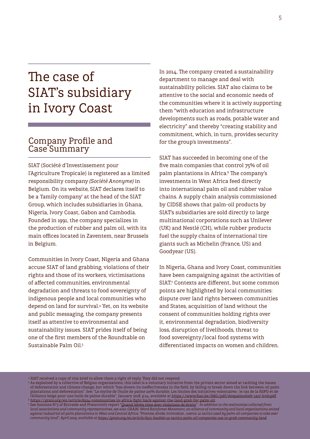## The case of SIAT's subsidiary in Ivory Coast

### Company Profile and Case<sup>-</sup>Summary

SIAT (Société d'Investissement pour l'Agriculture Tropicale) is registered as a limited responsibility company *(Société Anonyme)* in Belgium. On its website, SIAT declares itself to be a 'family company' at the head of the SIAT Group, which includes subsidiaries in Ghana, Nigeria, Ivory Coast, Gabon and Cambodia. Founded in 1991, the company specializes in the production of rubber and palm oil, with its main offices located in Zaventem, near Brussels in Belgium.

Communities in Ivory Coast, Nigeria and Ghana accuse SIAT of land grabbing, violations of their rights and those of its workers, victimisations of affected communities, environmental degradation and threats to food sovereignty of indigenous people and local communities who depend on land for survival.4 Yet, on its website and public messaging, the company presents itself as attentive to environmental and sustainability issues. SIAT prides itself of being one of the first members of the Roundtable on Sustainable Palm Oil<sup>5</sup>

In 2014, The company created a sustainability department to manage and deal with sustainability policies. SIAT also claims to be attentive to the social and economic needs of the communities where it is actively supporting them "with education and infrastructure developments such as roads, potable water and electricity" and thereby "creating stability and commitment, which, in turn, provides security for the group's investments".

SIAT has succeeded in becoming one of the five main companies that control 75% of oil palm plantations in Africa.6 The company's investments in West Africa feed directly into international palm oil and rubber value chains. A supply chain analysis commissioned by CIDSE shows that palm-oil products by SIAT's subsidiaries are sold directly to large multinational corporations such as Unilever (UK) and Nestlé (CH), while rubber products fuel the supply chains of international tire giants such as Michelin (France, US) and Goodyear (US).

In Nigeria, Ghana and Ivory Coast, communities have been campaigning against the activities of SIAT.7 Contexts are different, but some common points are highlighted by local communities: dispute over land rights between communities and States, acquisition of land without the consent of communities holding rights over it, environmental degradation, biodiversity loss, disruption of livelihoods, threat to food sovereignty/local food systems with differentiated impacts on women and children.

4 SIAT received a copy of this brief to allow them a right of reply. They did not respond.

 $^5$  As explained by a collective of Belgian organisations, this label is a voluntary initiative from the private sector aimed at tackling the issues of deforestation and climate change, but which "has shown its ineffectiveness in the field, by failing to break down the link between oil palm plantations and deforestation". See: "Le mythe de l'huile de palme 100% durable. Les limites des initiatives volontaires : le cas de la RSPO et de -l'Alliance belge pour une huile de palme durable", January 2018, p.24, available at [https://www.fian.be/IMG/pdf/dospalmoliefr-1217-lrnb.pdf.](https://www.fian.be/IMG/pdf/dospalmoliefr-1217-lrnb.pdf)<br><sup>6</sup> https://grain.org/en/article/6324-communities-in-africa-fight-back-against-t

*local associations and community representatives, see also: GRAIN, Word Rainforest Movement, an alliance of community and local organisations united against industrial oil palm plantations in West and Central Africa: "Promise, divide, intimidate , coerce: 12 tactics used by palm oil companies to take over community land", April 2019, available at [https://grain.org/en/article/6171-booklet-12-tactics-palm-oil-companies-use-to-grab-community-land.](https://grain.org/en/article/6171-booklet-12-tactics-palm-oil-companies-use-to-grab-community-land)*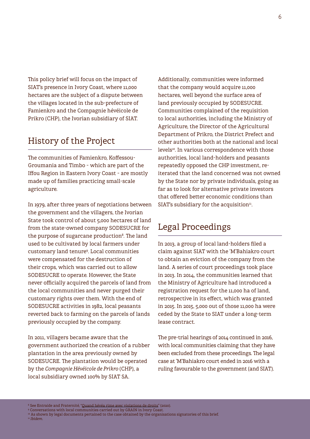This policy brief will focus on the impact of SIAT's presence in Ivory Coast, where 11,000 hectares are the subject of a dispute between the villages located in the sub-prefecture of Famienkro and the Compagnie hévéicole de Prikro (CHP), the Ivorian subsidiary of SIAT.

### History of the Project

The communities of Famienkro, Koffessou-Groumania and Timbo – which are part of the Iffou Region in Eastern Ivory Coast – are mostly made up of families practicing small-scale agriculture.

In 1979, after three years of negotiations between the government and the villagers, the Ivorian State took control of about 5,000 hectares of land from the state-owned company SODESUCRE for the purpose of sugarcane production<sup>8</sup>. The land used to be cultivated by local farmers under customary land tenure9 . Local communities were compensated for the destruction of their crops, which was carried out to allow SODESUCRE to operate. However, the State never officially acquired the parcels of land from the local communities and never purged their customary rights over them. With the end of SODESUCRE activities in 1982, local peasants reverted back to farming on the parcels of lands previously occupied by the company.

In 2011, villagers became aware that the government authorized the creation of a rubber plantation in the area previously owned by SODESUCRE. The plantation would be operated by the *Compagnie Hévéicole de Prikro* (CHP), a local subsidiary owned 100% by SIAT SA.

Additionally, communities were informed that the company would acquire 11,000 hectares, well beyond the surface area of land previously occupied by SODESUCRE. Communities complained of the requisition to local authorities, including the Ministry of Agriculture, the Director of the Agricultural Department of Prikro, the District Prefect and other authorities both at the national and local levels<sup>10</sup>. In various correspondence with those authorities, local land-holders and peasants repeatedly opposed the CHP investment, reiterated that the land concerned was not owned by the State nor by private individuals, going as far as to look for alternative private investors that offered better economic conditions than SIAT's subsidiary for the acquisition $n<sub>1</sub>$ .

## Legal Proceedings

In 2013, a group of local land-holders filed a claim against SIAT with the 'M'Bahiakro court to obtain an eviction of the company from the land. A series of court proceedings took place in 2013. In 2014, the communities learned that the Ministry of Agriculture had introduced a registration request for the 11,000 ha of land, retrospective in its effect, which was granted in 2015. In 2015, 5,000 out of those 11,000 ha were ceded by the State to SIAT under a long-term lease contract.

The pre-trial hearings of 2014 continued in 2016, with local communities claiming that they have been excluded from these proceedings. The legal case at 'M'Bahiakro court ended in 2016 with a ruling favourable to the government (and SIAT).

<sup>8</sup> See Entraide and Fraternité, ["Quand hévéa rime avec violations de droits"](https://www.entraide.be/quand-hevea-rime-avec-violations-de-droits) (2020).

<sup>9</sup> Conversations with local communities carried out by GRAIN in Ivory Coast.

 $10$  As shown by legal documents pertained to the case obtained by the organisations signatories of this brief.

<sup>11</sup> *Ibidem.*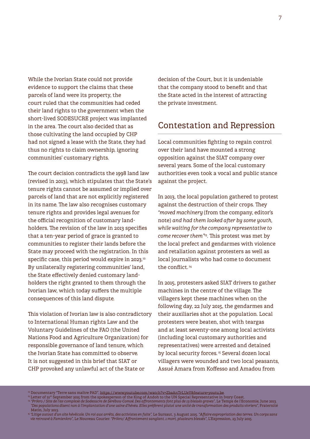While the Ivorian State could not provide evidence to support the claims that these parcels of land were its property, the court ruled that the communities had ceded their land rights to the government when the short-lived SODESUCRE project was implanted in the area. The court also decided that as those cultivating the land occupied by CHP had not signed a lease with the State, they had thus no rights to claim ownership, ignoring communities' customary rights.

The court decision contradicts the 1998 land law (revised in 2013), which stipulates that the State's tenure rights cannot be assumed or implied over parcels of land that are not explicitly registered in its name. The law also recognises customary tenure rights and provides legal avenues for the official recognition of customary landholders. The revision of the law in 2013 specifies that a ten-year period of grace is granted to communities to register their lands before the State may proceed with the registration. In this specific case, this period would expire in 2023.<sup>12</sup> By unilaterally registering communities' land, the State effectively denied customary landholders the right granted to them through the Ivorian law, which today suffers the multiple consequences of this land dispute.

This violation of Ivorian law is also contradictory to International Human rights Law and the Voluntary Guidelines of the FAO (the United Nations Food and Agriculture Organization) for responsible governance of land tenure, which the Ivorian State has committed to observe. It is not suggested in this brief that SIAT or CHP provoked any unlawful act of the State or

decision of the Court, but it is undeniable that the company stood to benefit and that the State acted in the interest of attracting the private investment.

### Contestation and Repression

Local communities fighting to regain control over their land have mounted a strong opposition against the SIAT company over several years. Some of the local customary authorities even took a vocal and public stance against the project.

In 2013, the local population gathered to protest against the destruction of their crops. They *"moved machinery* (from the company, editor's note) *and had them looked after by some youth, while waiting for the company representative to come recover them"*13. This protest was met by the local prefect and gendarmes with violence and retaliation against protesters as well as local journalists who had come to document the conflict<sup>14</sup>

In 2015, protesters asked SIAT drivers to gather machines in the centre of the village. The villagers kept these machines when on the following day, 22 July 2015, the gendarmes and their auxiliaries shot at the population. Local protesters were beaten, shot with teargas and at least seventy-one among local activists (including local customary authorities and representatives) were arrested and detained by local security forces.<sup>15</sup> Several dozen local villagers were wounded and two local peasants, Assué Amara from Koffesso and Amadou from

- *"Des populations disent non à l'implantation d'une usine d'hévéa. Elles préfèrent plutot une unité de transformation des produits vivriers"*, Fraternité Matin, July 2013.
- <sup>15</sup> *"Litige autout d'un site hévéicole. Un roi aux arrêts, des activistes en fuite",* Le Sursaut, 3 August 2015. *"Affaire expropriation des terres. Un corps sans vie retrouvé à Famienkro"*, Le Nouveau Courier. *"Prikro/ Affrontement sanglant. 1 mort, plusieurs blessés"*, L'Expression, 23 July 2015.

<sup>12</sup> Documentary "Terre sans maître PAD", [https://www.youtube.com/watch?v=ZbaAnTrLUeY&feature=youtu.be.](https://www.youtube.com/watch?v=ZbaAnTrLUeY&feature=youtu.be)<br>13 Letter of 21st September 2015 from the spokesperson of the King of Andoh to the UN Special Representative in Ivory Co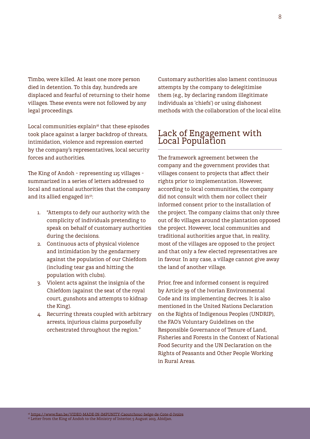Timbo, were killed. At least one more person died in detention. To this day, hundreds are displaced and fearful of returning to their home villages. These events were not followed by any legal proceedings.

Local communities explain<sup>16</sup> that these episodes took place against a larger backdrop of threats, intimidation, violence and repression exerted by the company's representatives, local security forces and authorities.

The King of Andoh – representing 115 villages – summarized in a series of letters addressed to local and national authorities that the company and its allied engaged in<sup>17</sup>:

- 1. "Attempts to defy our authority with the complicity of individuals pretending to speak on behalf of customary authorities during the decisions.
- 2. Continuous acts of physical violence and intimidation by the gendarmery against the population of our Chiefdom (including tear gas and hitting the population with clubs).
- 3. Violent acts against the insignia of the Chiefdom (against the seat of the royal court, gunshots and attempts to kidnap the King).
- 4. Recurring threats coupled with arbitrary arrests, injurious claims purposefully orchestrated throughout the region."

Customary authorities also lament continuous attempts by the company to delegitimise them (e.g., by declaring random illegitimate individuals as 'chiefs') or using dishonest methods with the collaboration of the local elite.

### Lack of Engagement with Local Population

The framework agreement between the company and the government provides that villages consent to projects that affect their rights prior to implementation. However, according to local communities, the company did not consult with them nor collect their informed consent prior to the installation of the project. The company claims that only three out of 80 villages around the plantation opposed the project. However, local communities and traditional authorities argue that, in reality, most of the villages are opposed to the project and that only a few elected representatives are in favour. In any case, a village cannot give away the land of another village.

Prior, free and informed consent is required by Article 39 of the Ivorian Environmental Code and its implementing decrees. It is also mentioned in the United Nations Declaration on the Rights of Indigenous Peoples (UNDRIP), the FAO's Voluntary Guidelines on the Responsible Governance of Tenure of Land, Fisheries and Forests in the Context of National Food Security and the UN Declaration on the Rights of Peasants and Other People Working in Rural Areas.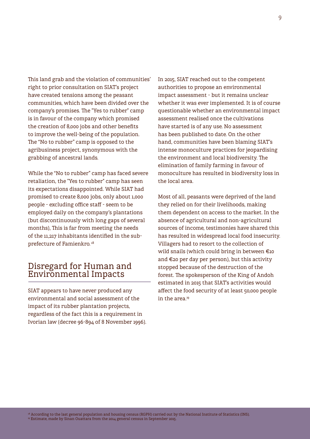This land grab and the violation of communities' right to prior consultation on SIAT's project have created tensions among the peasant communities, which have been divided over the company's promises. The "Yes to rubber" camp is in favour of the company which promised the creation of 8,000 jobs and other benefits to improve the well-being of the population. The "No to rubber" camp is opposed to the agribusiness project, synonymous with the grabbing of ancestral lands.

While the "No to rubber" camp has faced severe retaliation, the "Yes to rubber" camp has seen its expectations disappointed. While SIAT had promised to create 8,000 jobs, only about 1,000 people - excluding office staff - seem to be employed daily on the company's plantations (but discontinuously with long gaps of several months), This is far from meeting the needs of the 11,217 inhabitants identified in the subprefecture of Famienkro. <sup>18</sup>

#### Disregard for Human and Environmental Impacts

SIAT appears to have never produced any environmental and social assessment of the impact of its rubber plantation projects, regardless of the fact this is a requirement in Ivorian law (decree 96-894 of 8 November 1996). In 2015, SIAT reached out to the competent authorities to propose an environmental impact assessment - but it remains unclear whether it was ever implemented. It is of course questionable whether an environmental impact assessment realised once the cultivations have started is of any use. No assessment has been published to date. On the other hand, communities have been blaming SIAT's intense monoculture practices for jeopardising the environment and local biodiversity. The elimination of family farming in favour of monoculture has resulted in biodiversity loss in the local area.

Most of all, peasants were deprived of the land they relied on for their livelihoods, making them dependent on access to the market. In the absence of agricultural and non-agricultural sources of income, testimonies have shared this has resulted in widespread local food insecurity. Villagers had to resort to the collection of wild snails (which could bring in between €10 and €20 per day per person), but this activity stopped because of the destruction of the forest. The spokesperson of the King of Andoh estimated in 2015 that SIAT's activities would affect the food security of at least 50,000 people in the area.<sup>19</sup>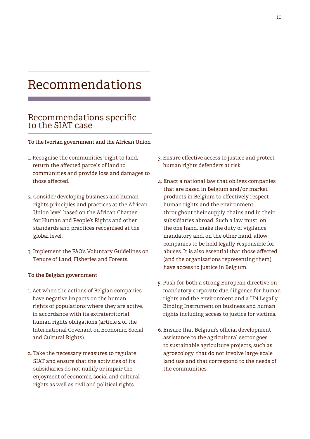## Recommendations

#### Recommendations specific to the SIAT case

**To the Ivorian government and the African Union**

- 1. Recognise the communities' right to land, return the affected parcels of land to communities and provide loss and damages to those affected.
- 2. Consider developing business and human rights principles and practices at the African Union level based on the African Charter for Human and People's Rights and other standards and practices recognised at the global level.
- 3. Implement the FAO's Voluntary Guidelines on Tenure of Land, Fisheries and Forests.

#### **To the Belgian government**

- 1. Act when the actions of Belgian companies have negative impacts on the human rights of populations where they are active, in accordance with its extraterritorial human rights obligations (article 2 of the International Covenant on Economic, Social and Cultural Rights).
- 2. Take the necessary measures to regulate SIAT and ensure that the activities of its subsidiaries do not nullify or impair the enjoyment of economic, social and cultural rights as well as civil and political rights.
- 3. Ensure effective access to justice and protect human rights defenders at risk.
- 4. Enact a national law that obliges companies that are based in Belgium and/or market products in Belgium to effectively respect human rights and the environment throughout their supply chains and in their subsidiaries abroad. Such a law must, on the one hand, make the duty of vigilance mandatory and, on the other hand, allow companies to be held legally responsible for abuses. It is also essential that those affected (and the organisations representing them) have access to justice in Belgium.
- 5. Push for both a strong European directive on mandatory corporate due diligence for human rights and the environment and a UN Legally Binding Instrument on business and human rights including access to justice for victims.
- 6. Ensure that Belgium's official development assistance to the agricultural sector goes to sustainable agriculture projects, such as agroecology, that do not involve large-scale land use and that correspond to the needs of the communities.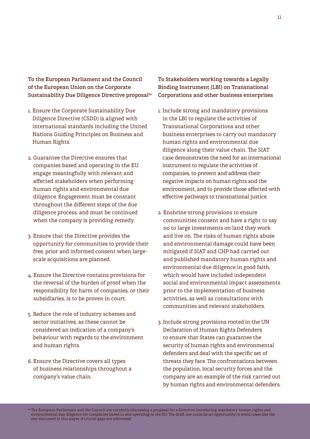**To the European Parliament and the Council of the European Union on the Corporate Sustainability Due Diligence Directive proposal20**

- 1. Ensure the Corporate Sustainability Due Diligence Directive (CSDD) is aligned with international standards including the United Nations Guiding Principles on Business and Human Rights.
- 2. Guarantee the Directive ensures that companies based and operating in the EU engage meaningfully with relevant and affected stakeholders when performing human rights and environmental due diligence. Engagement must be constant throughout the different steps of the due diligence process, and must be continued when the company is providing remedy.
- 3. Ensure that the Directive provides the opportunity for communities to provide their free, prior and informed consent when largescale acquisitions are planned.
- 4. Ensure the Directive contains provisions for the reversal of the burden of proof when the responsibility for harm of companies, or their subsidiaries, is to be proven in court.
- 5. Reduce the role of industry schemes and sector initiatives, as these cannot be considered an indication of a company's behaviour with regards to the environment and human rights.
- 6. Ensure the Directive covers all types of business relationships throughout a company's value chain.

**To Stakeholders working towards a Legally Binding Instrument (LBI) on Transnational Corporations and other business enterprises**

- 1. Include strong and mandatory provisions in the LBI to regulate the activities of Transnational Corporations and other business enterprises to carry out mandatory human rights and environmental due diligence along their value chain. The SIAT case demonstrates the need for an international instrument to regulate the activities of companies, to prevent and address their negative impacts on human rights and the environment, and to provide those affected with effective pathways to transnational justice.
- 2. Enshrine strong provisions to ensure communities consent and have a right to say no to large investments on land they work and live on. The risks of human rights abuse and environmental damage could have been mitigated if SIAT and CHP had carried out and published mandatory human rights and environmental due diligence in good faith, which would have included independent social and environmental impact assessments prior to the implementation of business activities, as well as consultations with communities and relevant stakeholders.
- 3. Include strong provisions rooted in the UN Declaration of Human Rights Defenders to ensure that States can guarantee the security of human rights and environmental defenders and deal with the specific set of threats they face. The confrontations between the population, local security forces and the company are an example of the risk carried out by human rights and environmental defenders.